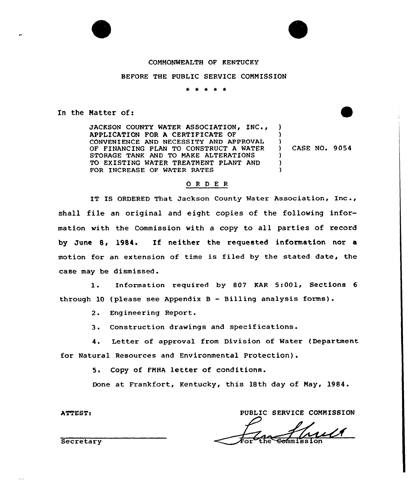### COMMONWEALTH OF KENTUCKY

### BEFORE THE PUBLIC SERVICE COMMISSION

\* \* \* \* \*

In the Matter of:

JACKSON COUNTY WATER ASSOCIATION, INC., APPLICATION FOR A CERTIFICATE OF CONVENIENCE AND NECESSITY AND APPROVAL OF FINANCING PLAN TO CONSTRUCT A WATER STORAGE TANK AND TO MAKE ALTERATIONS TO EXISTING WATER TREATMENT PLANT AND FOR INCREASE OF WATER RATES )  $)$ 

) CASE NO. 9054

)

) )  $\lambda$ 

### 0 <sup>R</sup> <sup>D</sup> <sup>E</sup> <sup>R</sup>

IT IS ORDERED That Jackson County Water Association, Inc., shall file an original and eight copies of the following information with the Commission with a copy to all parties of record by June 8, 1984. If neither the requested information nor a motion for an extension of time is filed by the stated date, the case may be dismissed.

l. Information required by <sup>807</sup> KAR 5:001, Sections <sup>6</sup> through 10 (please see Appendix B — Billing analysis forms).

2. Engineering Report.

3. Construction drawings and specifications.

4. Letter of approval from Division of Water (Department for Natural Resources and Environmental Protection).

5. Copy of FMHA letter of conditions.

Done at Frankfort, Kentucky, this 18th day of May, 1984.

PUBLIC SERVICE COMMISSION

**ATTEST:** 

Secretary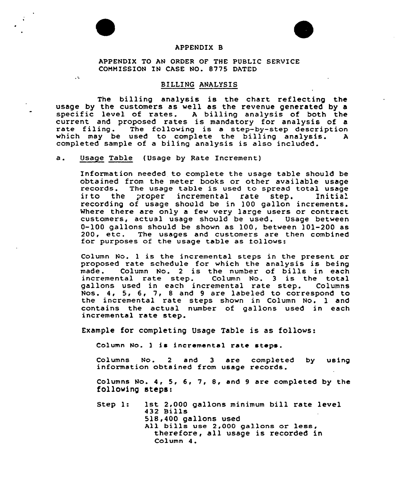

 $\sqrt{2}$ 



## APPENDIX B

APPENDIX TO AN ORDER OF THE PUBLIC SERVICE COMMISSION IN CASE NO. 8775 DATED

### BILLING ANALYSIS

The billing analysis is the chart reflecting the usage by the customers as well as the revenue generated by a specific level of rates. <sup>A</sup> billing analysis of both the current and proposed rates is mandatory for analysis of a rate filing. The following is a step-by-step description which may be used to complete the billing analysis. A completed sample of a biling analysis is also included.

a. Usage Table (Usage by Rate Increment)

In format ion needed to complete the usage table should be obtained from the meter books or other available usage records. The usage table is used to spread total usage into the proper incremental rate step. Initial the proper incremental rate step. recording of usage should be in 100 gallon increments. Where there are only a few very large users or contract customers, actual usage should be used. Usage between 0-100 gallons should be shown as 100, between 101-200 as<br>200, etc. The usages and customers are then combined 200, etc. The usages and customers are then combined for purposes of the usage table as follows:

Column No. <sup>1</sup> is the incremental steps in the present or proposed rate schedule for which the analysis is being<br>made. Column No. 2 is the number of bills in each Column No. 2 is the number of bills in each incremental rate step. Column No. 3 is the total<br>gallons used in each incremental rate step. Columns gallons used in each incremental rate step. Nos. 4, 5, 6, 7, <sup>8</sup> and <sup>9</sup> are labeled to correspond to the incremental rate steps shown in Column No. 1 and contains the actual number of gallons used in each incremental rate step.

Example for completing Usage Table is as follows:

Column No. <sup>1</sup> ia incremental rate steps.

Columns No. 2 and 3 are completed by using<br>information obtained from usage records.

Columns No. 4, 5, 6, 7, 8, and <sup>9</sup> are completed by the following steps:

Step 1: 1st 2,000 gallons minimum bill rate level 432 Bills 518,400 gallons used<br>All bills use 2,000 gallons or less, therefore, all usage is recorded in Column <sup>4</sup> .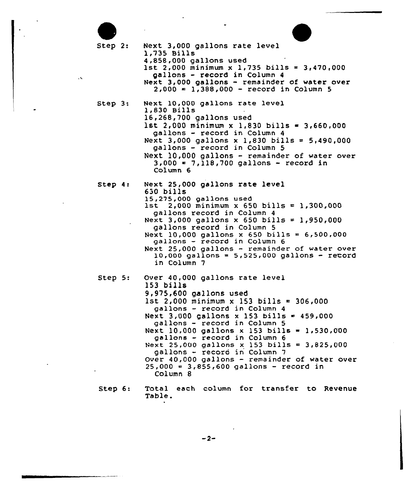Step 2: Next 3,000 gallons rate level 1,735 Bills 1st 2,000 minimum x 1,735 bills =  $3,470,000$ gallons - record in Column <sup>4</sup> Next 3,000 gallons - remainder of water over  $2,000 = 1,388,000 - record in Column 5$  $Step 3:$ Next 10,000 gallons rate level 1,830 Bills 16,268,700 gallons used 1st 2,000 minimum x 1,830 bills = 3,660,000 gallons — record in Column 4 Next 3,000 gallons <sup>x</sup> 1,830 bills <sup>=</sup> 5,490,000 gallons — record in Column 5 Next 10,000 gallons - remainder of water over 3<000 <sup>~</sup> 7,118,700 gallons — record in Column 6 Step 4: Next 25,000 gallons rate level 650 bills<br>15,275,000 gallons used 1st 2,000 minimum x 650 bills = 1,300,000 gallons record in Column <sup>4</sup> Next 3,000 gallons x 650 bills = 1,950,000 gallons record in Column 5 Next 10,000 gallons x 650 bills =  $6,500,000$  gallons - record in Column  $6$ Next 25,000 gallons — remainder of water over  $10,000$  gallons = 5,525,000 gallons - record in Column 7 Step 5: Over 40,0QO gallons rate level 153 bills 9,975,600 gallons used 1st 2,000 minimum x 153 bills =  $306,000$ gallons — record in Column 4 Next  $3,000$  gallons x 153 bills = 459,000 gallons — record in Column 5 Next 10,000 gallons x 153 bills = 1,530,000 gallons - record in Column <sup>6</sup> Next 25,000 gallons x 153 bills =  $3,825,000$ gallons - record in Column '7 Over 40,000 gallons — remainder of water over  $25,000 = 3,855,600$  gallons - record in Column 8 Step  $6:$ Total each column for transfer to Revenue

Table.

 $\ddot{\phantom{a}}$ 

 $-2-$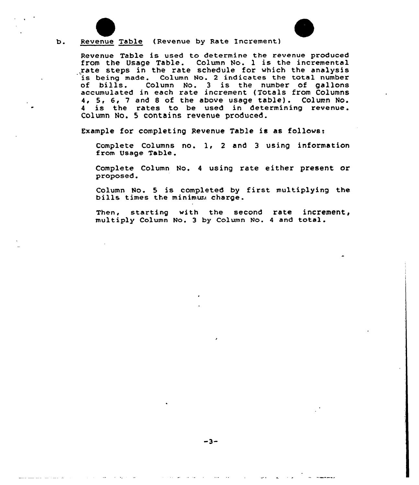

 $b$ .

# Revenue Table (Revenue by Rate Increment)

Revenue Table is used to determine the revenue produced from the Usage Table. Column No. 1 is the incremental<br>rate steps in the rate schedule for which the analysis is being made. Column No. 2 indicates the total number<br>of bills. Column No. 3 is the number of gallons Column No. 3 is the number of gallons accumulated in each rate increment (Totals from Columns 4, 5, 6, <sup>7</sup> and <sup>8</sup> of the above usage table) . Column No. <sup>4</sup> is the rates to be used in determining revenue. Column No. 5 contains revenue produced.

Example for completing Revenue Table is as follows:

Complete Columns no. l, <sup>2</sup> and <sup>3</sup> using information from Usage Table.

Complete Column No. <sup>4</sup> using rate either present or proposed

Column No. <sup>5</sup> is completed by <sup>f</sup>irst multiplying the bills times the minimura charge.

Then, starting with the second rate increment, multiply Column No. <sup>3</sup> by Column No. <sup>4</sup> and total.